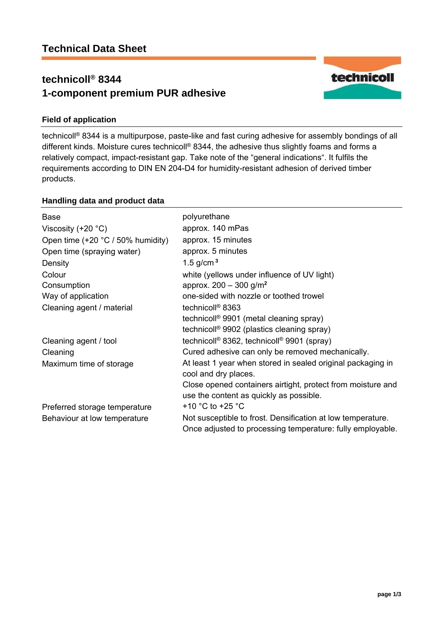# **technicoll® 8344 1-component premium PUR adhesive**



## **Field of application**

technicoll® 8344 is a multipurpose, paste-like and fast curing adhesive for assembly bondings of all different kinds. Moisture cures technicoll® 8344, the adhesive thus slightly foams and forms a relatively compact, impact-resistant gap. Take note of the "general indications". It fulfils the requirements according to DIN EN 204-D4 for humidity-resistant adhesion of derived timber products.

## **Handling data and product data**

| <b>Base</b>                           | polyurethane                                                                                                              |
|---------------------------------------|---------------------------------------------------------------------------------------------------------------------------|
| Viscosity (+20 $°C$ )                 | approx. 140 mPas                                                                                                          |
| Open time $(+20 °C / 50 \%$ humidity) | approx. 15 minutes                                                                                                        |
| Open time (spraying water)            | approx. 5 minutes                                                                                                         |
| Density                               | 1.5 $g/cm3$                                                                                                               |
| Colour                                | white (yellows under influence of UV light)                                                                               |
| Consumption                           | approx. $200 - 300$ g/m <sup>2</sup>                                                                                      |
| Way of application                    | one-sided with nozzle or toothed trowel                                                                                   |
| Cleaning agent / material             | technicoll <sup>®</sup> 8363                                                                                              |
|                                       | technicoll <sup>®</sup> 9901 (metal cleaning spray)                                                                       |
|                                       | technicoll <sup>®</sup> 9902 (plastics cleaning spray)                                                                    |
| Cleaning agent / tool                 | technicoll <sup>®</sup> 8362, technicoll <sup>®</sup> 9901 (spray)                                                        |
| Cleaning                              | Cured adhesive can only be removed mechanically.                                                                          |
| Maximum time of storage               | At least 1 year when stored in sealed original packaging in<br>cool and dry places.                                       |
|                                       | Close opened containers airtight, protect from moisture and                                                               |
|                                       | use the content as quickly as possible.                                                                                   |
| Preferred storage temperature         | +10 $^{\circ}$ C to +25 $^{\circ}$ C                                                                                      |
| Behaviour at low temperature          | Not susceptible to frost. Densification at low temperature.<br>Once adjusted to processing temperature: fully employable. |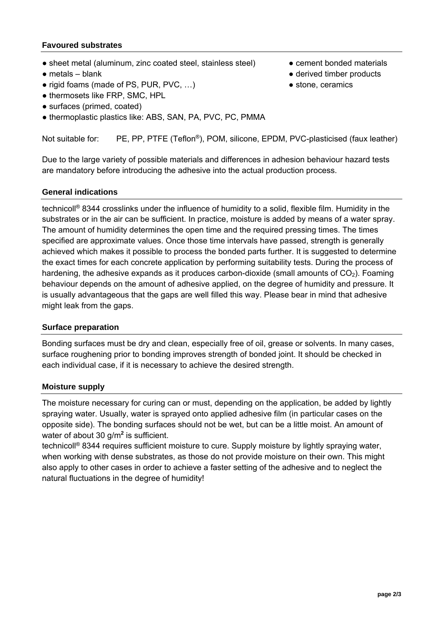## **Favoured substrates**

- sheet metal (aluminum, zinc coated steel, stainless steel) cement bonded materials
- $\bullet$  metals blank
- rigid foams (made of PS, PUR, PVC, ...)
- thermosets like FRP, SMC, HPL
- surfaces (primed, coated)
- thermoplastic plastics like: ABS, SAN, PA, PVC, PC, PMMA
- 
- derived timber products
- stone, ceramics

Not suitable for: PE, PP, PTFE (Teflon®), POM, silicone, EPDM, PVC-plasticised (faux leather)

Due to the large variety of possible materials and differences in adhesion behaviour hazard tests are mandatory before introducing the adhesive into the actual production process.

## **General indications**

technicoll® 8344 crosslinks under the influence of humidity to a solid, flexible film. Humidity in the substrates or in the air can be sufficient. In practice, moisture is added by means of a water spray. The amount of humidity determines the open time and the required pressing times. The times specified are approximate values. Once those time intervals have passed, strength is generally achieved which makes it possible to process the bonded parts further. It is suggested to determine the exact times for each concrete application by performing suitability tests. During the process of hardening, the adhesive expands as it produces carbon-dioxide (small amounts of  $CO<sub>2</sub>$ ). Foaming behaviour depends on the amount of adhesive applied, on the degree of humidity and pressure. It is usually advantageous that the gaps are well filled this way. Please bear in mind that adhesive might leak from the gaps.

## **Surface preparation**

Bonding surfaces must be dry and clean, especially free of oil, grease or solvents. In many cases, surface roughening prior to bonding improves strength of bonded joint. It should be checked in each individual case, if it is necessary to achieve the desired strength.

### **Moisture supply**

The moisture necessary for curing can or must, depending on the application, be added by lightly spraying water. Usually, water is sprayed onto applied adhesive film (in particular cases on the opposite side). The bonding surfaces should not be wet, but can be a little moist. An amount of water of about 30 g/m**<sup>2</sup>** is sufficient.

technicoll® 8344 requires sufficient moisture to cure. Supply moisture by lightly spraying water, when working with dense substrates, as those do not provide moisture on their own. This might also apply to other cases in order to achieve a faster setting of the adhesive and to neglect the natural fluctuations in the degree of humidity!